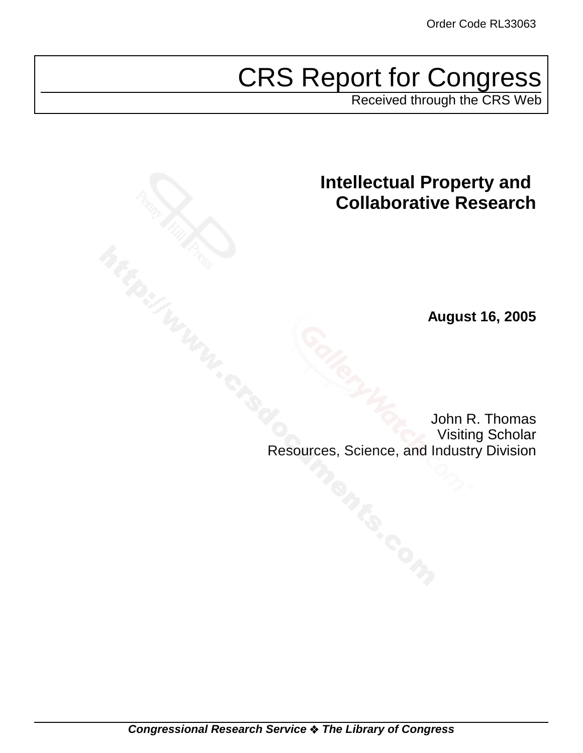# CRS Report for Congress

Received through the CRS Web

## **Intellectual Property and Collaborative Research**

**August 16, 2005**

John R. Thomas Visiting Scholar Resources, Science, and Industry Division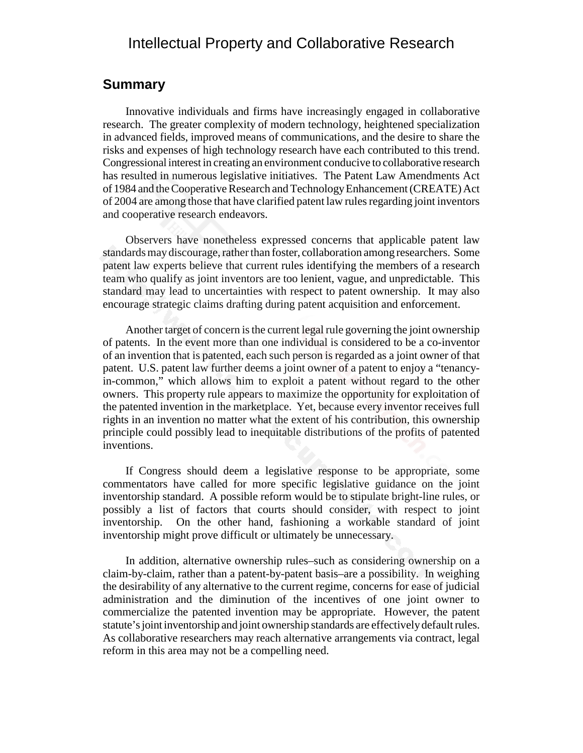## Intellectual Property and Collaborative Research

## **Summary**

Innovative individuals and firms have increasingly engaged in collaborative research. The greater complexity of modern technology, heightened specialization in advanced fields, improved means of communications, and the desire to share the risks and expenses of high technology research have each contributed to this trend. Congressional interest in creating an environment conducive to collaborative research has resulted in numerous legislative initiatives. The Patent Law Amendments Act of 1984 and the Cooperative Research and Technology Enhancement (CREATE) Act of 2004 are among those that have clarified patent law rules regarding joint inventors and cooperative research endeavors.

Observers have nonetheless expressed concerns that applicable patent law standards may discourage, rather than foster, collaboration among researchers. Some patent law experts believe that current rules identifying the members of a research team who qualify as joint inventors are too lenient, vague, and unpredictable. This standard may lead to uncertainties with respect to patent ownership. It may also encourage strategic claims drafting during patent acquisition and enforcement.

Another target of concern is the current legal rule governing the joint ownership of patents. In the event more than one individual is considered to be a co-inventor of an invention that is patented, each such person is regarded as a joint owner of that patent. U.S. patent law further deems a joint owner of a patent to enjoy a "tenancyin-common," which allows him to exploit a patent without regard to the other owners. This property rule appears to maximize the opportunity for exploitation of the patented invention in the marketplace. Yet, because every inventor receives full rights in an invention no matter what the extent of his contribution, this ownership principle could possibly lead to inequitable distributions of the profits of patented inventions.

If Congress should deem a legislative response to be appropriate, some commentators have called for more specific legislative guidance on the joint inventorship standard. A possible reform would be to stipulate bright-line rules, or possibly a list of factors that courts should consider, with respect to joint inventorship. On the other hand, fashioning a workable standard of joint inventorship might prove difficult or ultimately be unnecessary.

In addition, alternative ownership rules–such as considering ownership on a claim-by-claim, rather than a patent-by-patent basis–are a possibility. In weighing the desirability of any alternative to the current regime, concerns for ease of judicial administration and the diminution of the incentives of one joint owner to commercialize the patented invention may be appropriate. However, the patent statute's joint inventorship and joint ownership standards are effectively default rules. As collaborative researchers may reach alternative arrangements via contract, legal reform in this area may not be a compelling need.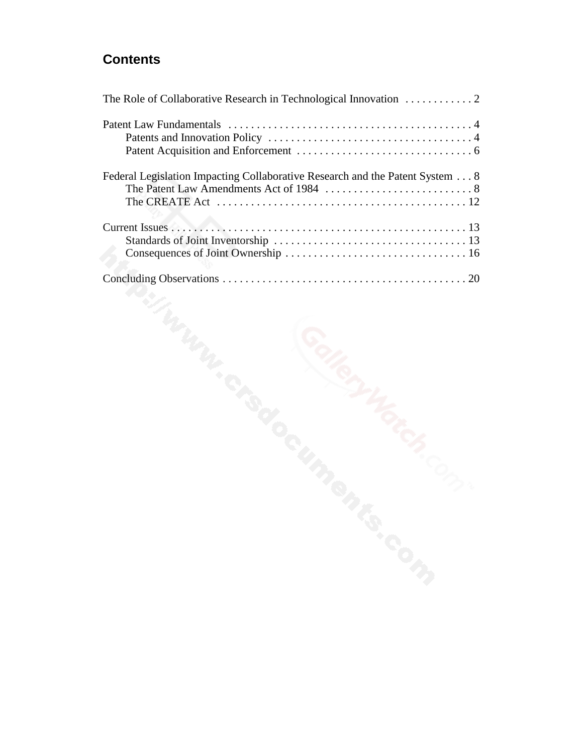## **Contents**

| Federal Legislation Impacting Collaborative Research and the Patent System 8 |
|------------------------------------------------------------------------------|
|                                                                              |
|                                                                              |
|                                                                              |
|                                                                              |
|                                                                              |
|                                                                              |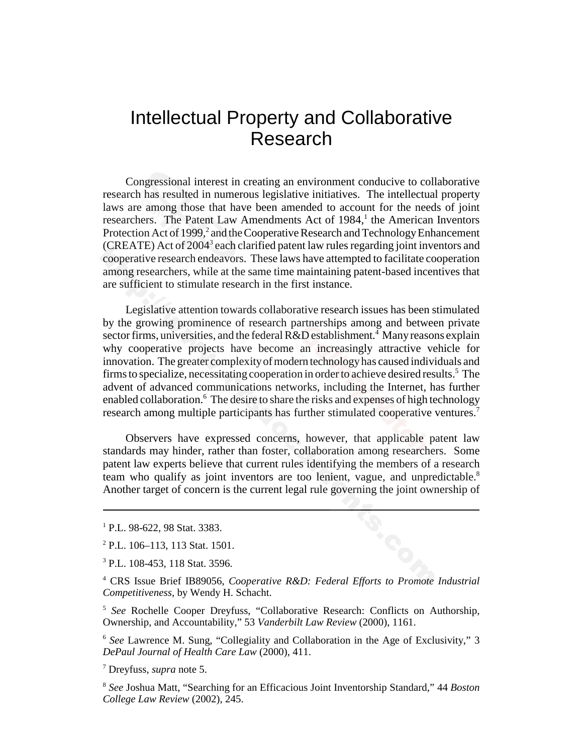## Intellectual Property and Collaborative Research

Congressional interest in creating an environment conducive to collaborative research has resulted in numerous legislative initiatives. The intellectual property laws are among those that have been amended to account for the needs of joint researchers. The Patent Law Amendments Act of 1984,<sup>1</sup> the American Inventors Protection Act of 1999,<sup>2</sup> and the Cooperative Research and Technology Enhancement (CREATE) Act of 2004<sup>3</sup> each clarified patent law rules regarding joint inventors and cooperative research endeavors. These laws have attempted to facilitate cooperation among researchers, while at the same time maintaining patent-based incentives that are sufficient to stimulate research in the first instance.

Legislative attention towards collaborative research issues has been stimulated by the growing prominence of research partnerships among and between private sector firms, universities, and the federal R&D establishment.<sup>4</sup> Many reasons explain why cooperative projects have become an increasingly attractive vehicle for innovation. The greater complexity of modern technology has caused individuals and firms to specialize, necessitating cooperation in order to achieve desired results.<sup>5</sup> The advent of advanced communications networks, including the Internet, has further enabled collaboration.<sup>6</sup> The desire to share the risks and expenses of high technology research among multiple participants has further stimulated cooperative ventures.<sup>7</sup>

Observers have expressed concerns, however, that applicable patent law standards may hinder, rather than foster, collaboration among researchers. Some patent law experts believe that current rules identifying the members of a research team who qualify as joint inventors are too lenient, vague, and unpredictable.<sup>8</sup> Another target of concern is the current legal rule governing the joint ownership of

<sup>1</sup> P.L. 98-622, 98 Stat. 3383.

<sup>&</sup>lt;sup>2</sup> P.L. 106–113, 113 Stat. 1501.

<sup>3</sup> P.L. 108-453, 118 Stat. 3596.

<sup>4</sup> CRS Issue Brief IB89056, *Cooperative R&D: Federal Efforts to Promote Industrial Competitiveness*, by Wendy H. Schacht.

<sup>5</sup> *See* Rochelle Cooper Dreyfuss, "Collaborative Research: Conflicts on Authorship, Ownership, and Accountability," 53 *Vanderbilt Law Review* (2000), 1161.

<sup>6</sup> *See* Lawrence M. Sung, "Collegiality and Collaboration in the Age of Exclusivity," 3 *DePaul Journal of Health Care Law* (2000), 411.

<sup>7</sup> Dreyfuss, *supra* note 5.

<sup>8</sup> *See* Joshua Matt, "Searching for an Efficacious Joint Inventorship Standard," 44 *Boston College Law Review* (2002), 245.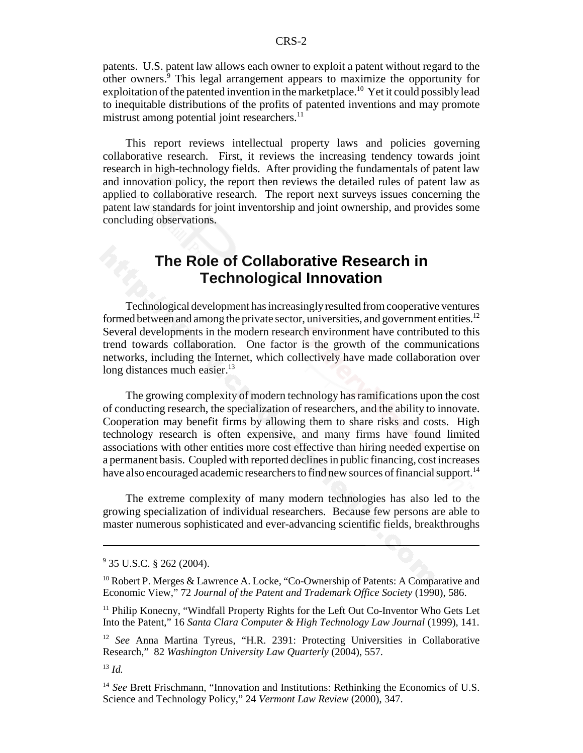patents. U.S. patent law allows each owner to exploit a patent without regard to the other owners.<sup>9</sup> This legal arrangement appears to maximize the opportunity for exploitation of the patented invention in the marketplace.<sup>10</sup> Yet it could possibly lead to inequitable distributions of the profits of patented inventions and may promote mistrust among potential joint researchers. $^{11}$ 

This report reviews intellectual property laws and policies governing collaborative research. First, it reviews the increasing tendency towards joint research in high-technology fields. After providing the fundamentals of patent law and innovation policy, the report then reviews the detailed rules of patent law as applied to collaborative research. The report next surveys issues concerning the patent law standards for joint inventorship and joint ownership, and provides some concluding observations.

## **The Role of Collaborative Research in Technological Innovation**

Technological development has increasingly resulted from cooperative ventures formed between and among the private sector, universities, and government entities.<sup>12</sup> Several developments in the modern research environment have contributed to this trend towards collaboration. One factor is the growth of the communications networks, including the Internet, which collectively have made collaboration over long distances much easier. $^{13}$ 

The growing complexity of modern technology has ramifications upon the cost of conducting research, the specialization of researchers, and the ability to innovate. Cooperation may benefit firms by allowing them to share risks and costs. High technology research is often expensive, and many firms have found limited associations with other entities more cost effective than hiring needed expertise on a permanent basis. Coupled with reported declines in public financing, cost increases have also encouraged academic researchers to find new sources of financial support.<sup>14</sup>

The extreme complexity of many modern technologies has also led to the growing specialization of individual researchers. Because few persons are able to master numerous sophisticated and ever-advancing scientific fields, breakthroughs

<sup>&</sup>lt;sup>9</sup> 35 U.S.C. § 262 (2004).

 $10$  Robert P. Merges & Lawrence A. Locke, "Co-Ownership of Patents: A Comparative and Economic View," 72 *Journal of the Patent and Trademark Office Society* (1990), 586.

<sup>&</sup>lt;sup>11</sup> Philip Konecny, "Windfall Property Rights for the Left Out Co-Inventor Who Gets Let Into the Patent," 16 *Santa Clara Computer & High Technology Law Journal* (1999), 141.

<sup>12</sup> *See* Anna Martina Tyreus, "H.R. 2391: Protecting Universities in Collaborative Research," 82 *Washington University Law Quarterly* (2004), 557.

<sup>13</sup> *Id.*

<sup>&</sup>lt;sup>14</sup> *See* Brett Frischmann, "Innovation and Institutions: Rethinking the Economics of U.S. Science and Technology Policy," 24 *Vermont Law Review* (2000), 347.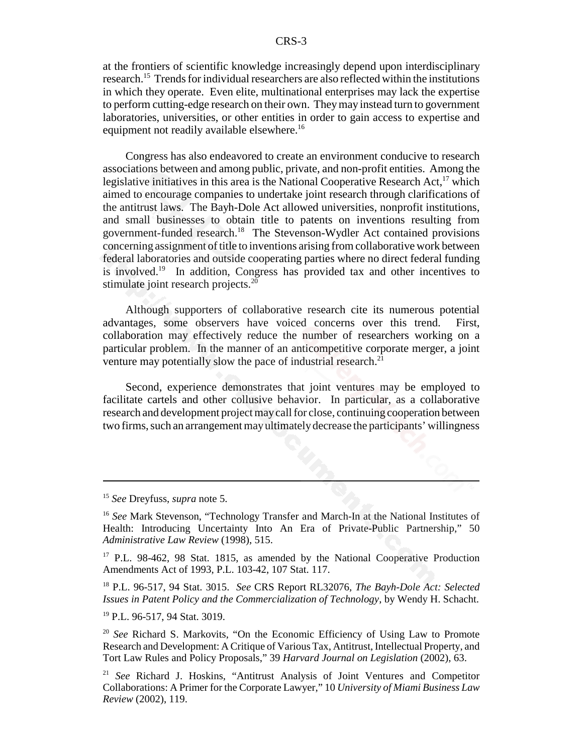at the frontiers of scientific knowledge increasingly depend upon interdisciplinary research.15 Trends for individual researchers are also reflected within the institutions in which they operate. Even elite, multinational enterprises may lack the expertise to perform cutting-edge research on their own. They may instead turn to government laboratories, universities, or other entities in order to gain access to expertise and equipment not readily available elsewhere.<sup>16</sup>

Congress has also endeavored to create an environment conducive to research associations between and among public, private, and non-profit entities. Among the legislative initiatives in this area is the National Cooperative Research Act,  $17$  which aimed to encourage companies to undertake joint research through clarifications of the antitrust laws. The Bayh-Dole Act allowed universities, nonprofit institutions, and small businesses to obtain title to patents on inventions resulting from government-funded research.18 The Stevenson-Wydler Act contained provisions concerning assignment of title to inventions arising from collaborative work between federal laboratories and outside cooperating parties where no direct federal funding is involved.19 In addition, Congress has provided tax and other incentives to stimulate joint research projects.<sup>20</sup>

Although supporters of collaborative research cite its numerous potential advantages, some observers have voiced concerns over this trend. First, collaboration may effectively reduce the number of researchers working on a particular problem. In the manner of an anticompetitive corporate merger, a joint venture may potentially slow the pace of industrial research.<sup>21</sup>

Second, experience demonstrates that joint ventures may be employed to facilitate cartels and other collusive behavior. In particular, as a collaborative research and development project may call for close, continuing cooperation between two firms, such an arrangement may ultimately decrease the participants' willingness

<sup>15</sup> *See* Dreyfuss, *supra* note 5.

<sup>16</sup> *See* Mark Stevenson, "Technology Transfer and March-In at the National Institutes of Health: Introducing Uncertainty Into An Era of Private-Public Partnership," 50 *Administrative Law Review* (1998), 515.

<sup>&</sup>lt;sup>17</sup> P.L. 98-462, 98 Stat. 1815, as amended by the National Cooperative Production Amendments Act of 1993, P.L. 103-42, 107 Stat. 117.

<sup>18</sup> P.L. 96-517, 94 Stat. 3015. *See* CRS Report RL32076, *The Bayh-Dole Act: Selected Issues in Patent Policy and the Commercialization of Technology*, by Wendy H. Schacht.

<sup>19</sup> P.L. 96-517, 94 Stat. 3019.

<sup>20</sup> *See* Richard S. Markovits, "On the Economic Efficiency of Using Law to Promote Research and Development: A Critique of Various Tax, Antitrust, Intellectual Property, and Tort Law Rules and Policy Proposals," 39 *Harvard Journal on Legislation* (2002), 63.

<sup>21</sup> *See* Richard J. Hoskins, "Antitrust Analysis of Joint Ventures and Competitor Collaborations: A Primer for the Corporate Lawyer," 10 *University of Miami Business Law Review* (2002), 119.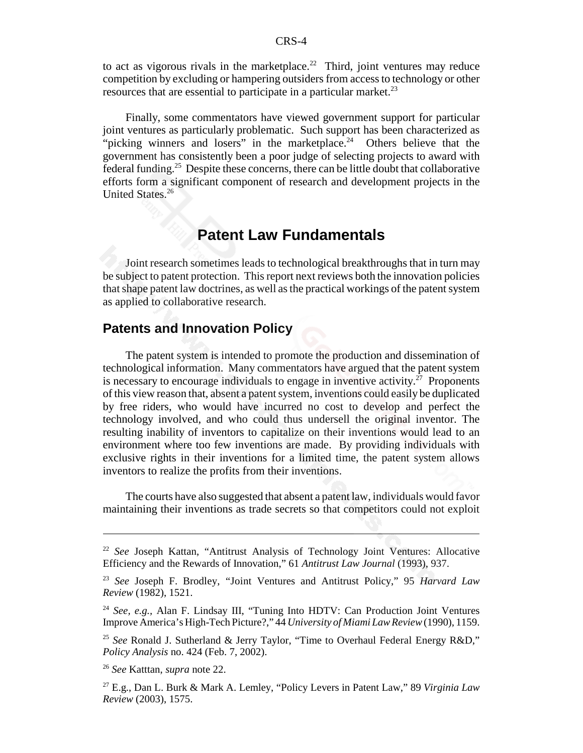to act as vigorous rivals in the marketplace.<sup>22</sup> Third, joint ventures may reduce competition by excluding or hampering outsiders from access to technology or other resources that are essential to participate in a particular market.<sup>23</sup>

Finally, some commentators have viewed government support for particular joint ventures as particularly problematic. Such support has been characterized as "picking winners and losers" in the marketplace.<sup>24</sup> Others believe that the government has consistently been a poor judge of selecting projects to award with federal funding.<sup>25</sup> Despite these concerns, there can be little doubt that collaborative efforts form a significant component of research and development projects in the United States.<sup>26</sup>

## **Patent Law Fundamentals**

Joint research sometimes leads to technological breakthroughs that in turn may be subject to patent protection. This report next reviews both the innovation policies that shape patent law doctrines, as well as the practical workings of the patent system as applied to collaborative research.

## **Patents and Innovation Policy**

The patent system is intended to promote the production and dissemination of technological information. Many commentators have argued that the patent system is necessary to encourage individuals to engage in inventive activity.<sup>27</sup> Proponents of this view reason that, absent a patent system, inventions could easily be duplicated by free riders, who would have incurred no cost to develop and perfect the technology involved, and who could thus undersell the original inventor. The resulting inability of inventors to capitalize on their inventions would lead to an environment where too few inventions are made. By providing individuals with exclusive rights in their inventions for a limited time, the patent system allows inventors to realize the profits from their inventions.

The courts have also suggested that absent a patent law, individuals would favor maintaining their inventions as trade secrets so that competitors could not exploit

<sup>22</sup> *See* Joseph Kattan, "Antitrust Analysis of Technology Joint Ventures: Allocative Efficiency and the Rewards of Innovation," 61 *Antitrust Law Journal* (1993), 937.

<sup>23</sup> *See* Joseph F. Brodley, "Joint Ventures and Antitrust Policy," 95 *Harvard Law Review* (1982), 1521.

<sup>24</sup> *See, e.g.,* Alan F. Lindsay III, "Tuning Into HDTV: Can Production Joint Ventures Improve America's High-Tech Picture?," 44 *University of Miami Law Review* (1990), 1159.

<sup>25</sup> *See* Ronald J. Sutherland & Jerry Taylor, "Time to Overhaul Federal Energy R&D," *Policy Analysis* no. 424 (Feb. 7, 2002).

<sup>26</sup> *See* Katttan, *supra* note 22.

<sup>27</sup> E.g., Dan L. Burk & Mark A. Lemley, "Policy Levers in Patent Law," 89 *Virginia Law Review* (2003), 1575.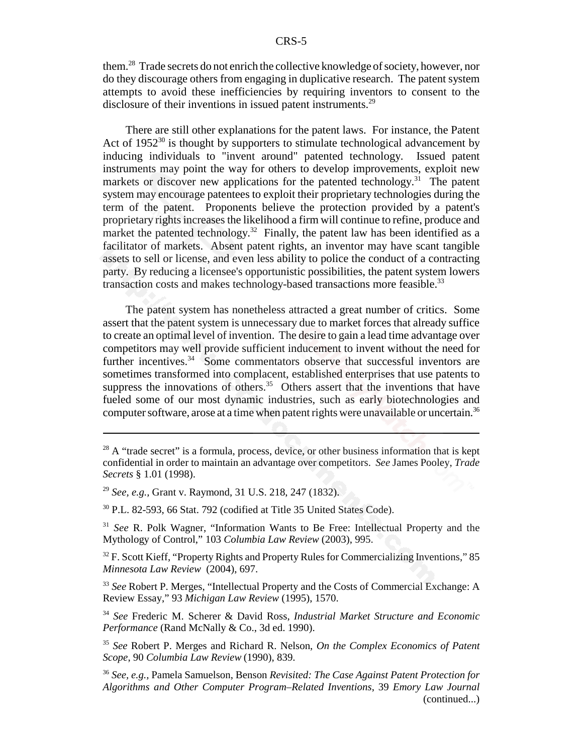them.28 Trade secrets do not enrich the collective knowledge of society, however, nor do they discourage others from engaging in duplicative research. The patent system attempts to avoid these inefficiencies by requiring inventors to consent to the disclosure of their inventions in issued patent instruments.<sup>29</sup>

There are still other explanations for the patent laws. For instance, the Patent Act of  $1952^{30}$  is thought by supporters to stimulate technological advancement by inducing individuals to "invent around" patented technology. Issued patent instruments may point the way for others to develop improvements, exploit new markets or discover new applications for the patented technology.<sup>31</sup> The patent system may encourage patentees to exploit their proprietary technologies during the term of the patent. Proponents believe the protection provided by a patent's proprietary rights increases the likelihood a firm will continue to refine, produce and market the patented technology.<sup>32</sup> Finally, the patent law has been identified as a facilitator of markets. Absent patent rights, an inventor may have scant tangible assets to sell or license, and even less ability to police the conduct of a contracting party. By reducing a licensee's opportunistic possibilities, the patent system lowers transaction costs and makes technology-based transactions more feasible.<sup>33</sup>

The patent system has nonetheless attracted a great number of critics. Some assert that the patent system is unnecessary due to market forces that already suffice to create an optimal level of invention. The desire to gain a lead time advantage over competitors may well provide sufficient inducement to invent without the need for further incentives.<sup>34</sup> Some commentators observe that successful inventors are sometimes transformed into complacent, established enterprises that use patents to suppress the innovations of others.<sup>35</sup> Others assert that the inventions that have fueled some of our most dynamic industries, such as early biotechnologies and computer software, arose at a time when patent rights were unavailable or uncertain.<sup>36</sup>

<sup>34</sup> *See* Frederic M. Scherer & David Ross, *Industrial Market Structure and Economic Performance* (Rand McNally & Co., 3d ed. 1990).

<sup>35</sup> *See* Robert P. Merges and Richard R. Nelson, *On the Complex Economics of Patent Scope*, 90 *Columbia Law Review* (1990), 839.

 $28$  A "trade secret" is a formula, process, device, or other business information that is kept confidential in order to maintain an advantage over competitors. *See* James Pooley, *Trade Secrets* § 1.01 (1998).

<sup>29</sup> *See, e.g.,* Grant v. Raymond, 31 U.S. 218, 247 (1832).

<sup>30</sup> P.L. 82-593, 66 Stat. 792 (codified at Title 35 United States Code).

<sup>31</sup> *See* R. Polk Wagner, "Information Wants to Be Free: Intellectual Property and the Mythology of Control," 103 *Columbia Law Review* (2003), 995.

<sup>&</sup>lt;sup>32</sup> F. Scott Kieff, "Property Rights and Property Rules for Commercializing Inventions," 85 *Minnesota Law Review* (2004), 697.

<sup>33</sup> *See* Robert P. Merges, "Intellectual Property and the Costs of Commercial Exchange: A Review Essay," 93 *Michigan Law Review* (1995), 1570.

<sup>36</sup> *See, e.g.,* Pamela Samuelson, Benson *Revisited: The Case Against Patent Protection for Algorithms and Other Computer Program–Related Inventions*, 39 *Emory Law Journal* (continued...)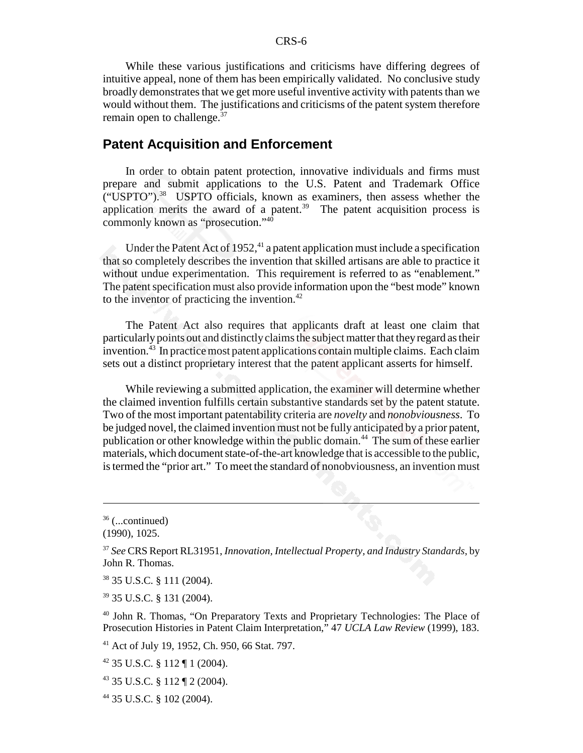While these various justifications and criticisms have differing degrees of intuitive appeal, none of them has been empirically validated. No conclusive study broadly demonstrates that we get more useful inventive activity with patents than we would without them. The justifications and criticisms of the patent system therefore remain open to challenge.<sup>37</sup>

### **Patent Acquisition and Enforcement**

In order to obtain patent protection, innovative individuals and firms must prepare and submit applications to the U.S. Patent and Trademark Office ("USPTO").38 USPTO officials, known as examiners, then assess whether the application merits the award of a patent.<sup>39</sup> The patent acquisition process is commonly known as "prosecution."40

Under the Patent Act of 1952, $41$  a patent application must include a specification that so completely describes the invention that skilled artisans are able to practice it without undue experimentation. This requirement is referred to as "enablement." The patent specification must also provide information upon the "best mode" known to the inventor of practicing the invention. $42$ 

The Patent Act also requires that applicants draft at least one claim that particularly points out and distinctly claims the subject matter that they regard as their invention.43 In practice most patent applications contain multiple claims. Each claim sets out a distinct proprietary interest that the patent applicant asserts for himself.

While reviewing a submitted application, the examiner will determine whether the claimed invention fulfills certain substantive standards set by the patent statute. Two of the most important patentability criteria are *novelty* and *nonobviousness*. To be judged novel, the claimed invention must not be fully anticipated by a prior patent, publication or other knowledge within the public domain.44 The sum of these earlier materials, which document state-of-the-art knowledge that is accessible to the public, is termed the "prior art." To meet the standard of nonobviousness, an invention must

41 Act of July 19, 1952, Ch. 950, 66 Stat. 797.

 $36$  (...continued)

<sup>(1990), 1025.</sup>

<sup>37</sup> *See* CRS Report RL31951, *Innovation, Intellectual Property, and Industry Standards*, by John R. Thomas.

<sup>38 35</sup> U.S.C. § 111 (2004).

<sup>39 35</sup> U.S.C. § 131 (2004).

<sup>40</sup> John R. Thomas, "On Preparatory Texts and Proprietary Technologies: The Place of Prosecution Histories in Patent Claim Interpretation," 47 *UCLA Law Review* (1999), 183.

 $42$  35 U.S.C. § 112 ¶ 1 (2004).

<sup>43 35</sup> U.S.C. § 112 ¶ 2 (2004).

<sup>44 35</sup> U.S.C. § 102 (2004).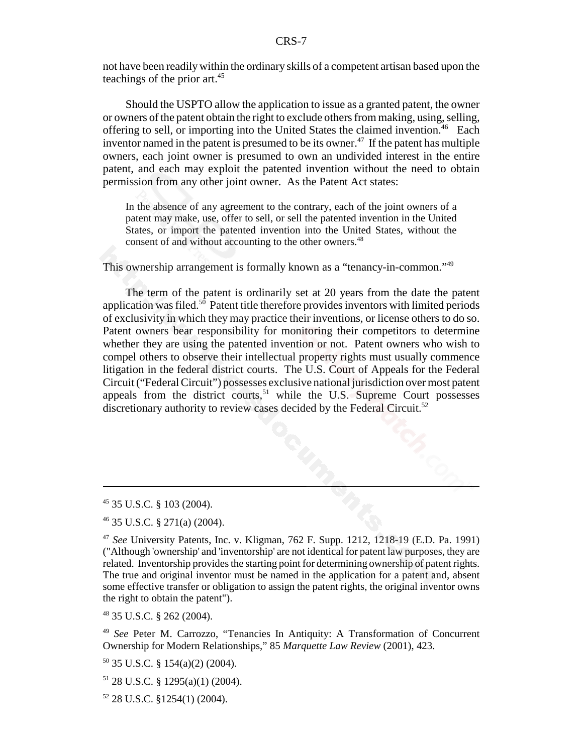not have been readily within the ordinary skills of a competent artisan based upon the teachings of the prior art.<sup>45</sup>

Should the USPTO allow the application to issue as a granted patent, the owner or owners of the patent obtain the right to exclude others from making, using, selling, offering to sell, or importing into the United States the claimed invention.<sup>46</sup> Each inventor named in the patent is presumed to be its owner.<sup>47</sup> If the patent has multiple owners, each joint owner is presumed to own an undivided interest in the entire patent, and each may exploit the patented invention without the need to obtain permission from any other joint owner. As the Patent Act states:

In the absence of any agreement to the contrary, each of the joint owners of a patent may make, use, offer to sell, or sell the patented invention in the United States, or import the patented invention into the United States, without the consent of and without accounting to the other owners.<sup>48</sup>

This ownership arrangement is formally known as a "tenancy-in-common."49

The term of the patent is ordinarily set at 20 years from the date the patent application was filed.<sup>50</sup> Patent title therefore provides inventors with limited periods of exclusivity in which they may practice their inventions, or license others to do so. Patent owners bear responsibility for monitoring their competitors to determine whether they are using the patented invention or not. Patent owners who wish to compel others to observe their intellectual property rights must usually commence litigation in the federal district courts. The U.S. Court of Appeals for the Federal Circuit ("Federal Circuit") possesses exclusive national jurisdiction over most patent appeals from the district courts,<sup>51</sup> while the U.S. Supreme Court possesses discretionary authority to review cases decided by the Federal Circuit.<sup>52</sup>

48 35 U.S.C. § 262 (2004).

<sup>49</sup> *See* Peter M. Carrozzo, "Tenancies In Antiquity: A Transformation of Concurrent Ownership for Modern Relationships," 85 *Marquette Law Review* (2001), 423.

 $50$  35 U.S.C. § 154(a)(2) (2004).

 $51$  28 U.S.C. § 1295(a)(1) (2004).

<sup>45 35</sup> U.S.C. § 103 (2004).

<sup>46 35</sup> U.S.C. § 271(a) (2004).

<sup>47</sup> *See* University Patents, Inc. v. Kligman, 762 F. Supp. 1212, 1218-19 (E.D. Pa. 1991) ("Although 'ownership' and 'inventorship' are not identical for patent law purposes, they are related. Inventorship provides the starting point for determining ownership of patent rights. The true and original inventor must be named in the application for a patent and, absent some effective transfer or obligation to assign the patent rights, the original inventor owns the right to obtain the patent").

 $52$  28 U.S.C. §1254(1) (2004).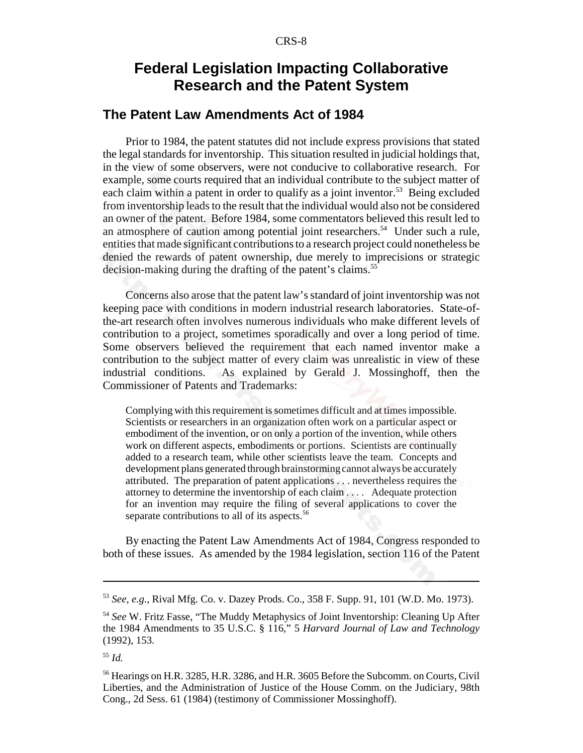## **Federal Legislation Impacting Collaborative Research and the Patent System**

## **The Patent Law Amendments Act of 1984**

Prior to 1984, the patent statutes did not include express provisions that stated the legal standards for inventorship. This situation resulted in judicial holdings that, in the view of some observers, were not conducive to collaborative research. For example, some courts required that an individual contribute to the subject matter of each claim within a patent in order to qualify as a joint inventor.<sup>53</sup> Being excluded from inventorship leads to the result that the individual would also not be considered an owner of the patent. Before 1984, some commentators believed this result led to an atmosphere of caution among potential joint researchers.<sup>54</sup> Under such a rule, entities that made significant contributions to a research project could nonetheless be denied the rewards of patent ownership, due merely to imprecisions or strategic decision-making during the drafting of the patent's claims.<sup>55</sup>

Concerns also arose that the patent law's standard of joint inventorship was not keeping pace with conditions in modern industrial research laboratories. State-ofthe-art research often involves numerous individuals who make different levels of contribution to a project, sometimes sporadically and over a long period of time. Some observers believed the requirement that each named inventor make a contribution to the subject matter of every claim was unrealistic in view of these industrial conditions. As explained by Gerald J. Mossinghoff, then the Commissioner of Patents and Trademarks:

Complying with this requirement is sometimes difficult and at times impossible. Scientists or researchers in an organization often work on a particular aspect or embodiment of the invention, or on only a portion of the invention, while others work on different aspects, embodiments or portions. Scientists are continually added to a research team, while other scientists leave the team. Concepts and development plans generated through brainstorming cannot always be accurately attributed. The preparation of patent applications . . . nevertheless requires the attorney to determine the inventorship of each claim . . . . Adequate protection for an invention may require the filing of several applications to cover the separate contributions to all of its aspects.<sup>56</sup>

By enacting the Patent Law Amendments Act of 1984, Congress responded to both of these issues. As amended by the 1984 legislation, section 116 of the Patent

<sup>53</sup> *See, e.g.,* Rival Mfg. Co. v. Dazey Prods. Co., 358 F. Supp. 91, 101 (W.D. Mo. 1973).

<sup>54</sup> *See* W. Fritz Fasse, "The Muddy Metaphysics of Joint Inventorship: Cleaning Up After the 1984 Amendments to 35 U.S.C. § 116," 5 *Harvard Journal of Law and Technology* (1992), 153.

<sup>55</sup> *Id.*

<sup>56</sup> Hearings on H.R. 3285, H.R. 3286, and H.R. 3605 Before the Subcomm. on Courts, Civil Liberties, and the Administration of Justice of the House Comm. on the Judiciary, 98th Cong., 2d Sess. 61 (1984) (testimony of Commissioner Mossinghoff).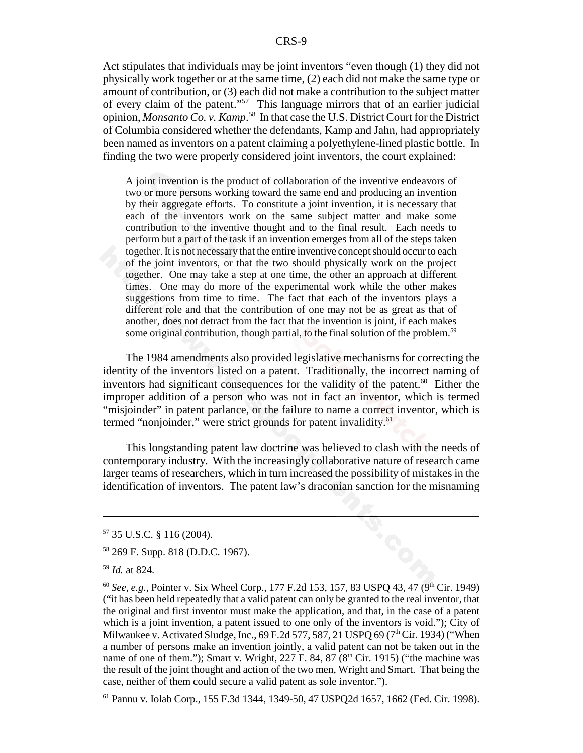Act stipulates that individuals may be joint inventors "even though (1) they did not physically work together or at the same time, (2) each did not make the same type or amount of contribution, or (3) each did not make a contribution to the subject matter of every claim of the patent."57 This language mirrors that of an earlier judicial opinion, *Monsanto Co. v. Kamp*. 58 In that case the U.S. District Court for the District of Columbia considered whether the defendants, Kamp and Jahn, had appropriately been named as inventors on a patent claiming a polyethylene-lined plastic bottle. In finding the two were properly considered joint inventors, the court explained:

A joint invention is the product of collaboration of the inventive endeavors of two or more persons working toward the same end and producing an invention by their aggregate efforts. To constitute a joint invention, it is necessary that each of the inventors work on the same subject matter and make some contribution to the inventive thought and to the final result. Each needs to perform but a part of the task if an invention emerges from all of the steps taken together. It is not necessary that the entire inventive concept should occur to each of the joint inventors, or that the two should physically work on the project together. One may take a step at one time, the other an approach at different times. One may do more of the experimental work while the other makes suggestions from time to time. The fact that each of the inventors plays a different role and that the contribution of one may not be as great as that of another, does not detract from the fact that the invention is joint, if each makes some original contribution, though partial, to the final solution of the problem.<sup>59</sup>

The 1984 amendments also provided legislative mechanisms for correcting the identity of the inventors listed on a patent. Traditionally, the incorrect naming of inventors had significant consequences for the validity of the patent.<sup>60</sup> Either the improper addition of a person who was not in fact an inventor, which is termed "misjoinder" in patent parlance, or the failure to name a correct inventor, which is termed "nonjoinder," were strict grounds for patent invalidity.<sup>61</sup>

This longstanding patent law doctrine was believed to clash with the needs of contemporary industry. With the increasingly collaborative nature of research came larger teams of researchers, which in turn increased the possibility of mistakes in the identification of inventors. The patent law's draconian sanction for the misnaming

<sup>57 35</sup> U.S.C. § 116 (2004).

<sup>58 269</sup> F. Supp. 818 (D.D.C. 1967).

<sup>59</sup> *Id.* at 824.

<sup>&</sup>lt;sup>60</sup> *See, e.g.,* Pointer v. Six Wheel Corp., 177 F.2d 153, 157, 83 USPQ 43, 47 (9<sup>th</sup> Cir. 1949) ("it has been held repeatedly that a valid patent can only be granted to the real inventor, that the original and first inventor must make the application, and that, in the case of a patent which is a joint invention, a patent issued to one only of the inventors is void."); City of Milwaukee v. Activated Sludge, Inc., 69 F.2d 577, 587, 21 USPO 69 (7<sup>th</sup> Cir. 1934) ("When a number of persons make an invention jointly, a valid patent can not be taken out in the name of one of them."); Smart v. Wright, 227 F. 84, 87 ( $8<sup>th</sup>$  Cir. 1915) ("the machine was the result of the joint thought and action of the two men, Wright and Smart. That being the case, neither of them could secure a valid patent as sole inventor.").

<sup>61</sup> Pannu v. Iolab Corp., 155 F.3d 1344, 1349-50, 47 USPQ2d 1657, 1662 (Fed. Cir. 1998).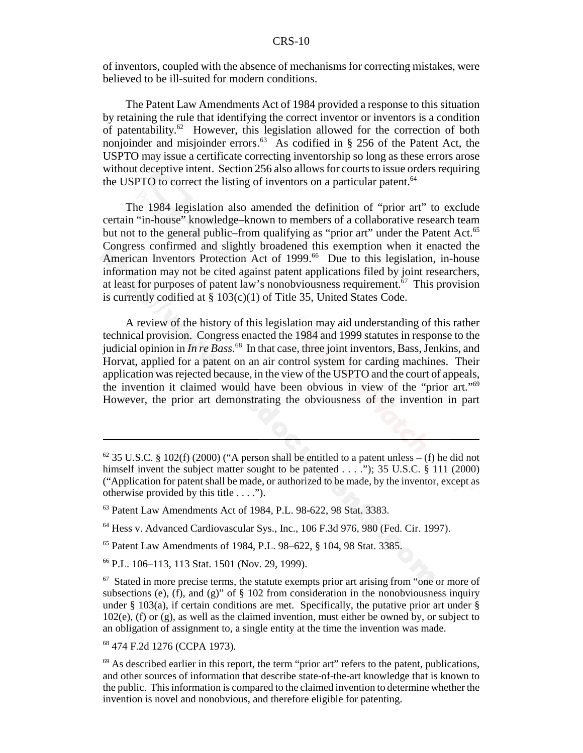of inventors, coupled with the absence of mechanisms for correcting mistakes, were believed to be ill-suited for modern conditions.

The Patent Law Amendments Act of 1984 provided a response to this situation by retaining the rule that identifying the correct inventor or inventors is a condition of patentability.<sup>62</sup> However, this legislation allowed for the correction of both nonjoinder and misjoinder errors.<sup>63</sup> As codified in § 256 of the Patent Act, the USPTO may issue a certificate correcting inventorship so long as these errors arose without deceptive intent. Section 256 also allows for courts to issue orders requiring the USPTO to correct the listing of inventors on a particular patent.<sup>64</sup>

The 1984 legislation also amended the definition of "prior art" to exclude certain "in-house" knowledge–known to members of a collaborative research team but not to the general public–from qualifying as "prior art" under the Patent Act.<sup>65</sup> Congress confirmed and slightly broadened this exemption when it enacted the American Inventors Protection Act of 1999.<sup>66</sup> Due to this legislation, in-house information may not be cited against patent applications filed by joint researchers, at least for purposes of patent law's nonobviousness requirement.<sup>67</sup> This provision is currently codified at § 103(c)(1) of Title 35, United States Code.

A review of the history of this legislation may aid understanding of this rather technical provision. Congress enacted the 1984 and 1999 statutes in response to the judicial opinion in *In re Bass*.<sup>68</sup> In that case, three joint inventors, Bass, Jenkins, and Horvat, applied for a patent on an air control system for carding machines. Their application was rejected because, in the view of the USPTO and the court of appeals, the invention it claimed would have been obvious in view of the "prior art."69 However, the prior art demonstrating the obviousness of the invention in part

 $62$  35 U.S.C. § 102(f) (2000) ("A person shall be entitled to a patent unless – (f) he did not himself invent the subject matter sought to be patented . . . ."); 35 U.S.C. § 111 (2000) ("Application for patent shall be made, or authorized to be made, by the inventor, except as otherwise provided by this title . . . .").

<sup>63</sup> Patent Law Amendments Act of 1984, P.L. 98-622, 98 Stat. 3383.

<sup>64</sup> Hess v. Advanced Cardiovascular Sys., Inc., 106 F.3d 976, 980 (Fed. Cir. 1997).

<sup>65</sup> Patent Law Amendments of 1984, P.L. 98–622, § 104, 98 Stat. 3385.

<sup>66</sup> P.L. 106–113, 113 Stat. 1501 (Nov. 29, 1999).

 $67$  Stated in more precise terms, the statute exempts prior art arising from "one or more of subsections (e), (f), and (g)" of  $\S$  102 from consideration in the nonobviousness inquiry under  $\S$  103(a), if certain conditions are met. Specifically, the putative prior art under  $\S$ 102(e), (f) or (g), as well as the claimed invention, must either be owned by, or subject to an obligation of assignment to, a single entity at the time the invention was made.

<sup>68 474</sup> F.2d 1276 (CCPA 1973).

 $69$  As described earlier in this report, the term "prior art" refers to the patent, publications, and other sources of information that describe state-of-the-art knowledge that is known to the public. This information is compared to the claimed invention to determine whether the invention is novel and nonobvious, and therefore eligible for patenting.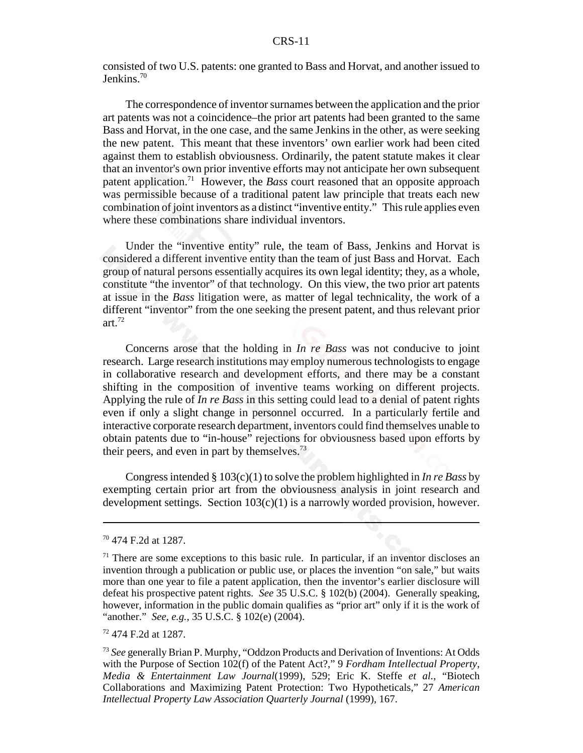consisted of two U.S. patents: one granted to Bass and Horvat, and another issued to Jenkins.<sup>70</sup>

The correspondence of inventor surnames between the application and the prior art patents was not a coincidence–the prior art patents had been granted to the same Bass and Horvat, in the one case, and the same Jenkins in the other, as were seeking the new patent. This meant that these inventors' own earlier work had been cited against them to establish obviousness. Ordinarily, the patent statute makes it clear that an inventor's own prior inventive efforts may not anticipate her own subsequent patent application.71 However, the *Bass* court reasoned that an opposite approach was permissible because of a traditional patent law principle that treats each new combination of joint inventors as a distinct "inventive entity." This rule applies even where these combinations share individual inventors.

Under the "inventive entity" rule, the team of Bass, Jenkins and Horvat is considered a different inventive entity than the team of just Bass and Horvat. Each group of natural persons essentially acquires its own legal identity; they, as a whole, constitute "the inventor" of that technology. On this view, the two prior art patents at issue in the *Bass* litigation were, as matter of legal technicality, the work of a different "inventor" from the one seeking the present patent, and thus relevant prior art. $72$ 

Concerns arose that the holding in *In re Bass* was not conducive to joint research. Large research institutions may employ numerous technologists to engage in collaborative research and development efforts, and there may be a constant shifting in the composition of inventive teams working on different projects. Applying the rule of *In re Bass* in this setting could lead to a denial of patent rights even if only a slight change in personnel occurred. In a particularly fertile and interactive corporate research department, inventors could find themselves unable to obtain patents due to "in-house" rejections for obviousness based upon efforts by their peers, and even in part by themselves.<sup>73</sup>

Congress intended § 103(c)(1) to solve the problem highlighted in *In re Bass* by exempting certain prior art from the obviousness analysis in joint research and development settings. Section  $103(c)(1)$  is a narrowly worded provision, however.

72 474 F.2d at 1287.

<sup>70 474</sup> F.2d at 1287.

 $71$  There are some exceptions to this basic rule. In particular, if an inventor discloses an invention through a publication or public use, or places the invention "on sale," but waits more than one year to file a patent application, then the inventor's earlier disclosure will defeat his prospective patent rights. *See* 35 U.S.C. § 102(b) (2004). Generally speaking, however, information in the public domain qualifies as "prior art" only if it is the work of "another." *See, e.g.,* 35 U.S.C. § 102(e) (2004).

<sup>73</sup> *See* generally Brian P. Murphy, "Oddzon Products and Derivation of Inventions: At Odds with the Purpose of Section 102(f) of the Patent Act?," 9 *Fordham Intellectual Property, Media & Entertainment Law Journal*(1999), 529; Eric K. Steffe *et al.*, "Biotech Collaborations and Maximizing Patent Protection: Two Hypotheticals," 27 *American Intellectual Property Law Association Quarterly Journal* (1999), 167.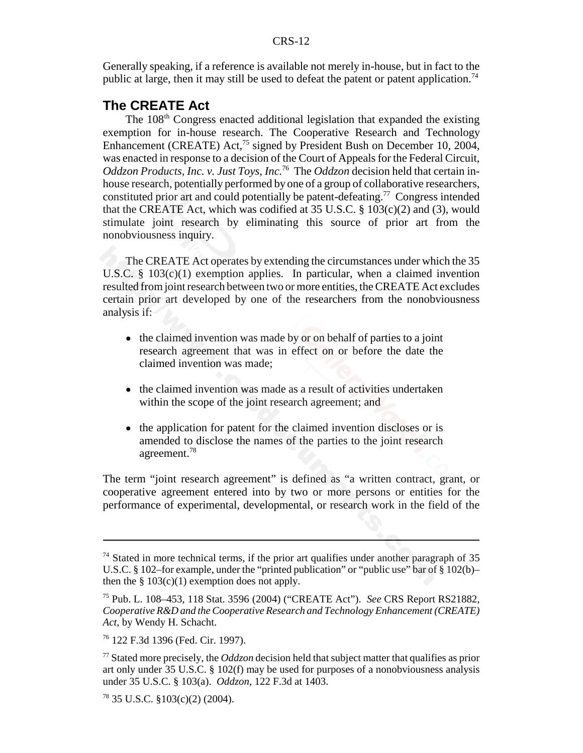Generally speaking, if a reference is available not merely in-house, but in fact to the public at large, then it may still be used to defeat the patent or patent application.<sup>74</sup>

## **The CREATE Act**

The 108<sup>th</sup> Congress enacted additional legislation that expanded the existing exemption for in-house research. The Cooperative Research and Technology Enhancement (CREATE) Act,<sup>75</sup> signed by President Bush on December 10, 2004, was enacted in response to a decision of the Court of Appeals for the Federal Circuit, *Oddzon Products, Inc. v. Just Toys, Inc.*76 The *Oddzon* decision held that certain inhouse research, potentially performed by one of a group of collaborative researchers, constituted prior art and could potentially be patent-defeating.77 Congress intended that the CREATE Act, which was codified at  $35$  U.S.C.  $\S$  103(c)(2) and (3), would stimulate joint research by eliminating this source of prior art from the nonobviousness inquiry.

The CREATE Act operates by extending the circumstances under which the 35 U.S.C.  $\S$  103(c)(1) exemption applies. In particular, when a claimed invention resulted from joint research between two or more entities, the CREATE Act excludes certain prior art developed by one of the researchers from the nonobviousness analysis if:

- the claimed invention was made by or on behalf of parties to a joint research agreement that was in effect on or before the date the claimed invention was made;
- the claimed invention was made as a result of activities undertaken within the scope of the joint research agreement; and
- the application for patent for the claimed invention discloses or is amended to disclose the names of the parties to the joint research agreement.78

The term "joint research agreement" is defined as "a written contract, grant, or cooperative agreement entered into by two or more persons or entities for the performance of experimental, developmental, or research work in the field of the

 $74$  Stated in more technical terms, if the prior art qualifies under another paragraph of 35 U.S.C. § 102–for example, under the "printed publication" or "public use" bar of § 102(b)– then the  $\S 103(c)(1)$  exemption does not apply.

<sup>75</sup> Pub. L. 108–453, 118 Stat. 3596 (2004) ("CREATE Act"). *See* CRS Report RS21882, *Cooperative R&D and the Cooperative Research and Technology Enhancement (CREATE) Act*, by Wendy H. Schacht.

<sup>76 122</sup> F.3d 1396 (Fed. Cir. 1997).

<sup>77</sup> Stated more precisely, the *Oddzon* decision held that subject matter that qualifies as prior art only under 35 U.S.C. § 102(f) may be used for purposes of a nonobviousness analysis under 35 U.S.C. § 103(a). *Oddzon*, 122 F.3d at 1403.

 $78$  35 U.S.C. §103(c)(2) (2004).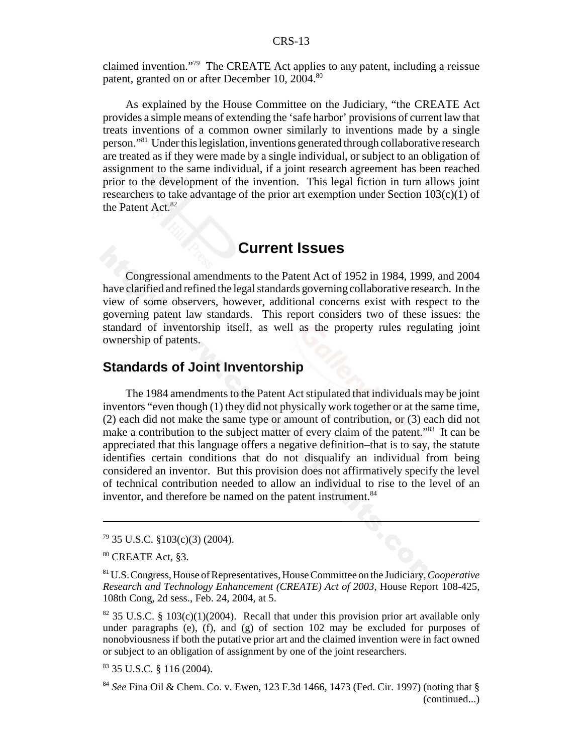claimed invention."79 The CREATE Act applies to any patent, including a reissue patent, granted on or after December 10, 2004.<sup>80</sup>

As explained by the House Committee on the Judiciary, "the CREATE Act provides a simple means of extending the 'safe harbor' provisions of current law that treats inventions of a common owner similarly to inventions made by a single person."81 Under this legislation, inventions generated through collaborative research are treated as if they were made by a single individual, or subject to an obligation of assignment to the same individual, if a joint research agreement has been reached prior to the development of the invention. This legal fiction in turn allows joint researchers to take advantage of the prior art exemption under Section  $103(c)(1)$  of the Patent Act.<sup>82</sup>

## **Current Issues**

Congressional amendments to the Patent Act of 1952 in 1984, 1999, and 2004 have clarified and refined the legal standards governing collaborative research. In the view of some observers, however, additional concerns exist with respect to the governing patent law standards. This report considers two of these issues: the standard of inventorship itself, as well as the property rules regulating joint ownership of patents.

## **Standards of Joint Inventorship**

The 1984 amendments to the Patent Act stipulated that individuals may be joint inventors "even though (1) they did not physically work together or at the same time, (2) each did not make the same type or amount of contribution, or (3) each did not make a contribution to the subject matter of every claim of the patent."<sup>83</sup> It can be appreciated that this language offers a negative definition–that is to say, the statute identifies certain conditions that do not disqualify an individual from being considered an inventor. But this provision does not affirmatively specify the level of technical contribution needed to allow an individual to rise to the level of an inventor, and therefore be named on the patent instrument.<sup>84</sup>

<sup>79 35</sup> U.S.C. §103(c)(3) (2004).

<sup>80</sup> CREATE Act, §3.

<sup>81</sup> U.S. Congress, House of Representatives, House Committee on the Judiciary, *Cooperative Research and Technology Enhancement (CREATE) Act of 2003*, House Report 108-425, 108th Cong, 2d sess., Feb. 24, 2004, at 5.

<sup>&</sup>lt;sup>82</sup> 35 U.S.C. § 103(c)(1)(2004). Recall that under this provision prior art available only under paragraphs (e), (f), and (g) of section  $102$  may be excluded for purposes of nonobviousness if both the putative prior art and the claimed invention were in fact owned or subject to an obligation of assignment by one of the joint researchers.

<sup>83 35</sup> U.S.C. § 116 (2004).

<sup>84</sup> *See* Fina Oil & Chem. Co. v. Ewen, 123 F.3d 1466, 1473 (Fed. Cir. 1997) (noting that § (continued...)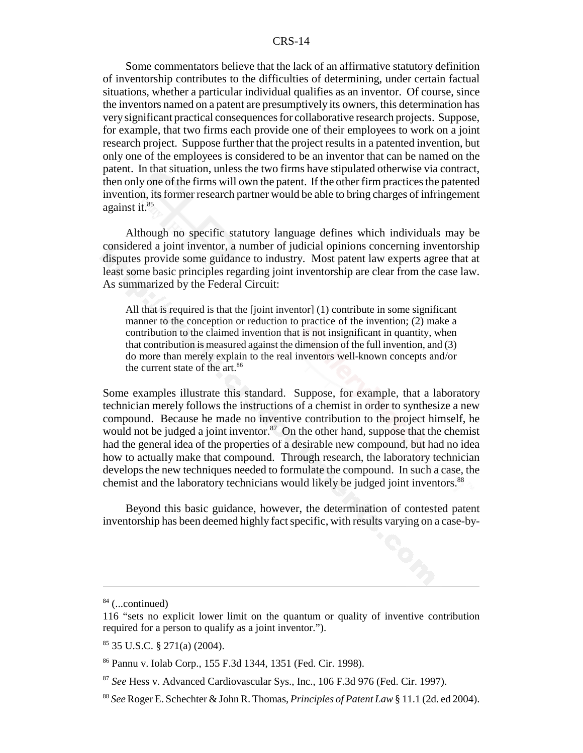Some commentators believe that the lack of an affirmative statutory definition of inventorship contributes to the difficulties of determining, under certain factual situations, whether a particular individual qualifies as an inventor. Of course, since the inventors named on a patent are presumptively its owners, this determination has very significant practical consequences for collaborative research projects. Suppose, for example, that two firms each provide one of their employees to work on a joint research project. Suppose further that the project results in a patented invention, but only one of the employees is considered to be an inventor that can be named on the patent. In that situation, unless the two firms have stipulated otherwise via contract, then only one of the firms will own the patent. If the other firm practices the patented invention, its former research partner would be able to bring charges of infringement against it.85

Although no specific statutory language defines which individuals may be considered a joint inventor, a number of judicial opinions concerning inventorship disputes provide some guidance to industry. Most patent law experts agree that at least some basic principles regarding joint inventorship are clear from the case law. As summarized by the Federal Circuit:

All that is required is that the [joint inventor] (1) contribute in some significant manner to the conception or reduction to practice of the invention; (2) make a contribution to the claimed invention that is not insignificant in quantity, when that contribution is measured against the dimension of the full invention, and (3) do more than merely explain to the real inventors well-known concepts and/or the current state of the art.<sup>86</sup>

Some examples illustrate this standard. Suppose, for example, that a laboratory technician merely follows the instructions of a chemist in order to synthesize a new compound. Because he made no inventive contribution to the project himself, he would not be judged a joint inventor. $87$  On the other hand, suppose that the chemist had the general idea of the properties of a desirable new compound, but had no idea how to actually make that compound. Through research, the laboratory technician develops the new techniques needed to formulate the compound. In such a case, the chemist and the laboratory technicians would likely be judged joint inventors.<sup>88</sup>

Beyond this basic guidance, however, the determination of contested patent inventorship has been deemed highly fact specific, with results varying on a case-by-

 $84$  (...continued)

<sup>116 &</sup>quot;sets no explicit lower limit on the quantum or quality of inventive contribution required for a person to qualify as a joint inventor.").

<sup>85 35</sup> U.S.C. § 271(a) (2004).

<sup>86</sup> Pannu v. Iolab Corp., 155 F.3d 1344, 1351 (Fed. Cir. 1998).

<sup>87</sup> *See* Hess v. Advanced Cardiovascular Sys., Inc., 106 F.3d 976 (Fed. Cir. 1997).

<sup>88</sup> *See* Roger E. Schechter & John R. Thomas, *Principles of Patent Law* § 11.1 (2d. ed 2004).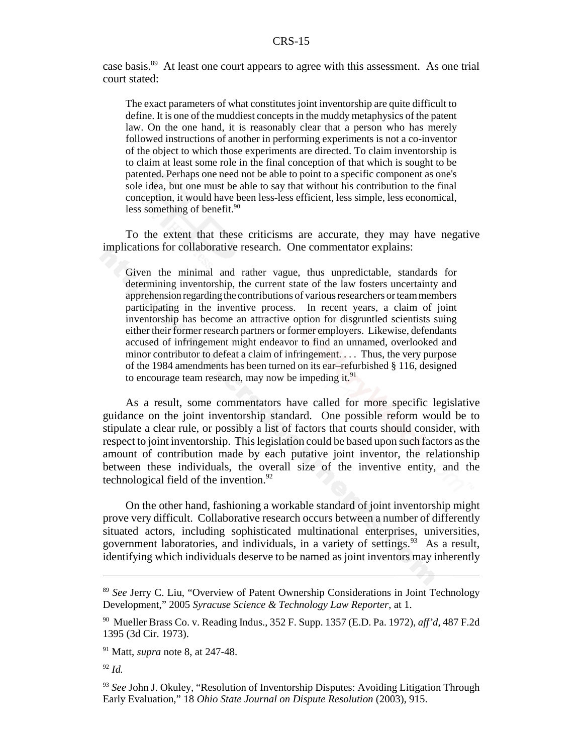case basis.89 At least one court appears to agree with this assessment. As one trial court stated:

The exact parameters of what constitutes joint inventorship are quite difficult to define. It is one of the muddiest concepts in the muddy metaphysics of the patent law. On the one hand, it is reasonably clear that a person who has merely followed instructions of another in performing experiments is not a co-inventor of the object to which those experiments are directed. To claim inventorship is to claim at least some role in the final conception of that which is sought to be patented. Perhaps one need not be able to point to a specific component as one's sole idea, but one must be able to say that without his contribution to the final conception, it would have been less-less efficient, less simple, less economical, less something of benefit.<sup>90</sup>

To the extent that these criticisms are accurate, they may have negative implications for collaborative research. One commentator explains:

Given the minimal and rather vague, thus unpredictable, standards for determining inventorship, the current state of the law fosters uncertainty and apprehension regarding the contributions of various researchers or team members participating in the inventive process. In recent years, a claim of joint inventorship has become an attractive option for disgruntled scientists suing either their former research partners or former employers. Likewise, defendants accused of infringement might endeavor to find an unnamed, overlooked and minor contributor to defeat a claim of infringement. . . . Thus, the very purpose of the 1984 amendments has been turned on its ear–refurbished § 116, designed to encourage team research, may now be impeding it. $91$ 

As a result, some commentators have called for more specific legislative guidance on the joint inventorship standard. One possible reform would be to stipulate a clear rule, or possibly a list of factors that courts should consider, with respect to joint inventorship. This legislation could be based upon such factors as the amount of contribution made by each putative joint inventor, the relationship between these individuals, the overall size of the inventive entity, and the technological field of the invention. $92$ 

On the other hand, fashioning a workable standard of joint inventorship might prove very difficult. Collaborative research occurs between a number of differently situated actors, including sophisticated multinational enterprises, universities, government laboratories, and individuals, in a variety of settings.  $93\text{ As a result}$ , identifying which individuals deserve to be named as joint inventors may inherently

<sup>89</sup> *See* Jerry C. Liu, "Overview of Patent Ownership Considerations in Joint Technology Development," 2005 *Syracuse Science & Technology Law Reporter*, at 1.

<sup>90</sup> Mueller Brass Co. v. Reading Indus., 352 F. Supp. 1357 (E.D. Pa. 1972), *aff'd*, 487 F.2d 1395 (3d Cir. 1973).

<sup>91</sup> Matt, *supra* note 8, at 247-48.

<sup>92</sup> *Id.*

<sup>&</sup>lt;sup>93</sup> See John J. Okuley, "Resolution of Inventorship Disputes: Avoiding Litigation Through Early Evaluation," 18 *Ohio State Journal on Dispute Resolution* (2003), 915.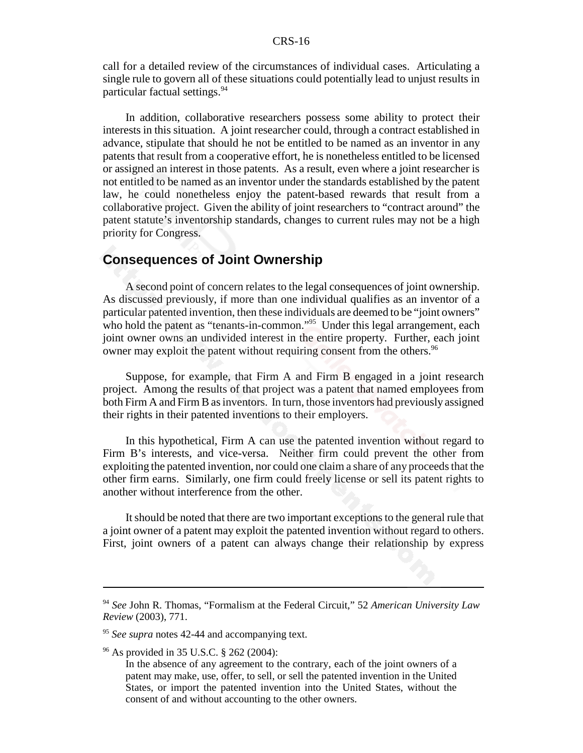call for a detailed review of the circumstances of individual cases. Articulating a single rule to govern all of these situations could potentially lead to unjust results in particular factual settings.94

In addition, collaborative researchers possess some ability to protect their interests in this situation. A joint researcher could, through a contract established in advance, stipulate that should he not be entitled to be named as an inventor in any patents that result from a cooperative effort, he is nonetheless entitled to be licensed or assigned an interest in those patents. As a result, even where a joint researcher is not entitled to be named as an inventor under the standards established by the patent law, he could nonetheless enjoy the patent-based rewards that result from a collaborative project. Given the ability of joint researchers to "contract around" the patent statute's inventorship standards, changes to current rules may not be a high priority for Congress.

## **Consequences of Joint Ownership**

A second point of concern relates to the legal consequences of joint ownership. As discussed previously, if more than one individual qualifies as an inventor of a particular patented invention, then these individuals are deemed to be "joint owners" who hold the patent as "tenants-in-common."<sup>95</sup> Under this legal arrangement, each joint owner owns an undivided interest in the entire property. Further, each joint owner may exploit the patent without requiring consent from the others.<sup>96</sup>

Suppose, for example, that Firm A and Firm B engaged in a joint research project. Among the results of that project was a patent that named employees from both Firm A and Firm B as inventors. In turn, those inventors had previously assigned their rights in their patented inventions to their employers.

In this hypothetical, Firm A can use the patented invention without regard to Firm B's interests, and vice-versa. Neither firm could prevent the other from exploiting the patented invention, nor could one claim a share of any proceeds that the other firm earns. Similarly, one firm could freely license or sell its patent rights to another without interference from the other.

It should be noted that there are two important exceptions to the general rule that a joint owner of a patent may exploit the patented invention without regard to others. First, joint owners of a patent can always change their relationship by express

<sup>94</sup> *See* John R. Thomas, "Formalism at the Federal Circuit," 52 *American University Law Review* (2003), 771.

<sup>95</sup> *See supra* notes 42-44 and accompanying text.

<sup>96</sup> As provided in 35 U.S.C. § 262 (2004):

In the absence of any agreement to the contrary, each of the joint owners of a patent may make, use, offer, to sell, or sell the patented invention in the United States, or import the patented invention into the United States, without the consent of and without accounting to the other owners.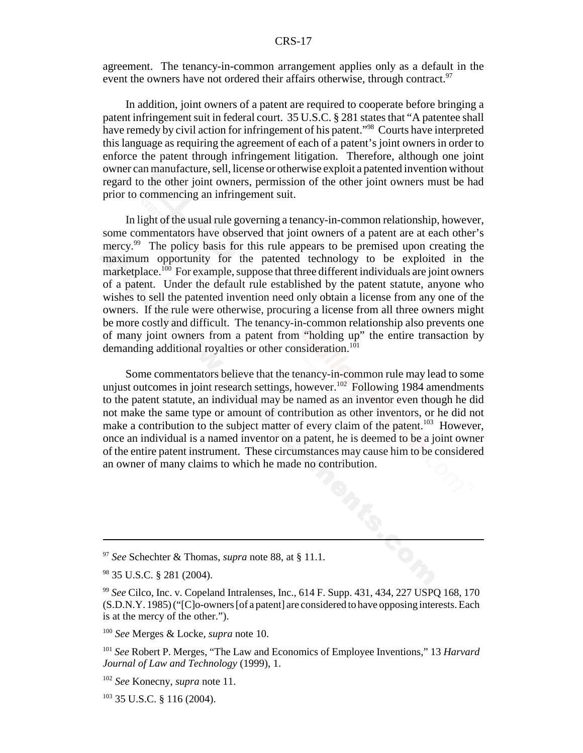agreement. The tenancy-in-common arrangement applies only as a default in the event the owners have not ordered their affairs otherwise, through contract. $97$ 

In addition, joint owners of a patent are required to cooperate before bringing a patent infringement suit in federal court. 35 U.S.C. § 281 states that "A patentee shall have remedy by civil action for infringement of his patent."<sup>98</sup> Courts have interpreted this language as requiring the agreement of each of a patent's joint owners in order to enforce the patent through infringement litigation. Therefore, although one joint owner can manufacture, sell, license or otherwise exploit a patented invention without regard to the other joint owners, permission of the other joint owners must be had prior to commencing an infringement suit.

In light of the usual rule governing a tenancy-in-common relationship, however, some commentators have observed that joint owners of a patent are at each other's mercy.<sup>99</sup> The policy basis for this rule appears to be premised upon creating the maximum opportunity for the patented technology to be exploited in the marketplace.<sup>100</sup> For example, suppose that three different individuals are joint owners of a patent. Under the default rule established by the patent statute, anyone who wishes to sell the patented invention need only obtain a license from any one of the owners. If the rule were otherwise, procuring a license from all three owners might be more costly and difficult. The tenancy-in-common relationship also prevents one of many joint owners from a patent from "holding up" the entire transaction by demanding additional royalties or other consideration.<sup>101</sup>

Some commentators believe that the tenancy-in-common rule may lead to some unjust outcomes in joint research settings, however.<sup>102</sup> Following 1984 amendments to the patent statute, an individual may be named as an inventor even though he did not make the same type or amount of contribution as other inventors, or he did not make a contribution to the subject matter of every claim of the patent.<sup>103</sup> However, once an individual is a named inventor on a patent, he is deemed to be a joint owner of the entire patent instrument. These circumstances may cause him to be considered an owner of many claims to which he made no contribution.

<sup>97</sup> *See* Schechter & Thomas, *supra* note 88, at § 11.1.

<sup>98 35</sup> U.S.C. § 281 (2004).

<sup>99</sup> *See* Cilco, Inc. v. Copeland Intralenses, Inc., 614 F. Supp. 431, 434, 227 USPQ 168, 170 (S.D.N.Y. 1985) ("[C]o-owners [of a patent] are considered to have opposing interests. Each is at the mercy of the other.").

<sup>100</sup> *See* Merges & Locke, *supra* note 10.

<sup>101</sup> *See* Robert P. Merges, "The Law and Economics of Employee Inventions," 13 *Harvard Journal of Law and Technology* (1999), 1.

<sup>102</sup> *See* Konecny, *supra* note 11.

 $103$  35 U.S.C. § 116 (2004).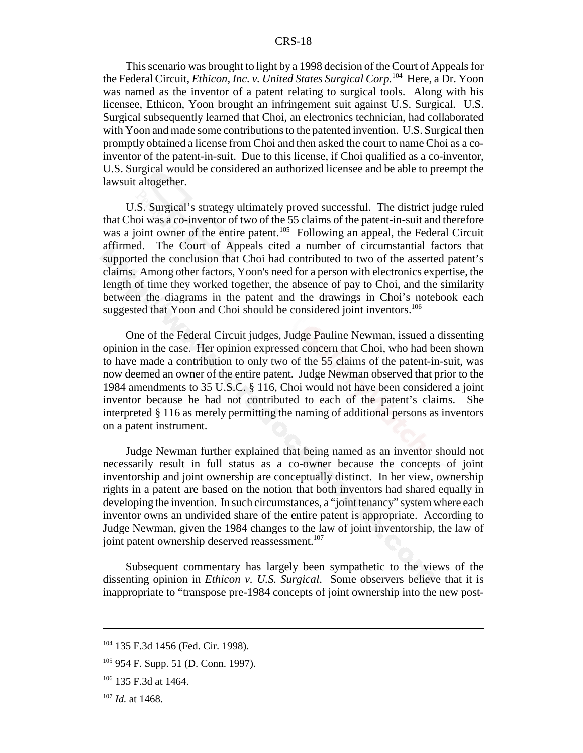This scenario was brought to light by a 1998 decision of the Court of Appeals for the Federal Circuit, *Ethicon, Inc. v. United States Surgical Corp.*104 Here, a Dr. Yoon was named as the inventor of a patent relating to surgical tools. Along with his licensee, Ethicon, Yoon brought an infringement suit against U.S. Surgical. U.S. Surgical subsequently learned that Choi, an electronics technician, had collaborated with Yoon and made some contributions to the patented invention. U.S. Surgical then promptly obtained a license from Choi and then asked the court to name Choi as a coinventor of the patent-in-suit. Due to this license, if Choi qualified as a co-inventor, U.S. Surgical would be considered an authorized licensee and be able to preempt the lawsuit altogether.

U.S. Surgical's strategy ultimately proved successful. The district judge ruled that Choi was a co-inventor of two of the 55 claims of the patent-in-suit and therefore was a joint owner of the entire patent.<sup>105</sup> Following an appeal, the Federal Circuit affirmed. The Court of Appeals cited a number of circumstantial factors that supported the conclusion that Choi had contributed to two of the asserted patent's claims. Among other factors, Yoon's need for a person with electronics expertise, the length of time they worked together, the absence of pay to Choi, and the similarity between the diagrams in the patent and the drawings in Choi's notebook each suggested that Yoon and Choi should be considered joint inventors.<sup>106</sup>

One of the Federal Circuit judges, Judge Pauline Newman, issued a dissenting opinion in the case. Her opinion expressed concern that Choi, who had been shown to have made a contribution to only two of the 55 claims of the patent-in-suit, was now deemed an owner of the entire patent. Judge Newman observed that prior to the 1984 amendments to 35 U.S.C. § 116, Choi would not have been considered a joint inventor because he had not contributed to each of the patent's claims. She interpreted § 116 as merely permitting the naming of additional persons as inventors on a patent instrument.

Judge Newman further explained that being named as an inventor should not necessarily result in full status as a co-owner because the concepts of joint inventorship and joint ownership are conceptually distinct. In her view, ownership rights in a patent are based on the notion that both inventors had shared equally in developing the invention. In such circumstances, a "joint tenancy" system where each inventor owns an undivided share of the entire patent is appropriate. According to Judge Newman, given the 1984 changes to the law of joint inventorship, the law of joint patent ownership deserved reassessment.<sup>107</sup>

Subsequent commentary has largely been sympathetic to the views of the dissenting opinion in *Ethicon v. U.S. Surgical*. Some observers believe that it is inappropriate to "transpose pre-1984 concepts of joint ownership into the new post-

<sup>104 135</sup> F.3d 1456 (Fed. Cir. 1998).

<sup>105 954</sup> F. Supp. 51 (D. Conn. 1997).

 $106$  135 F.3d at 1464.

<sup>107</sup> *Id.* at 1468.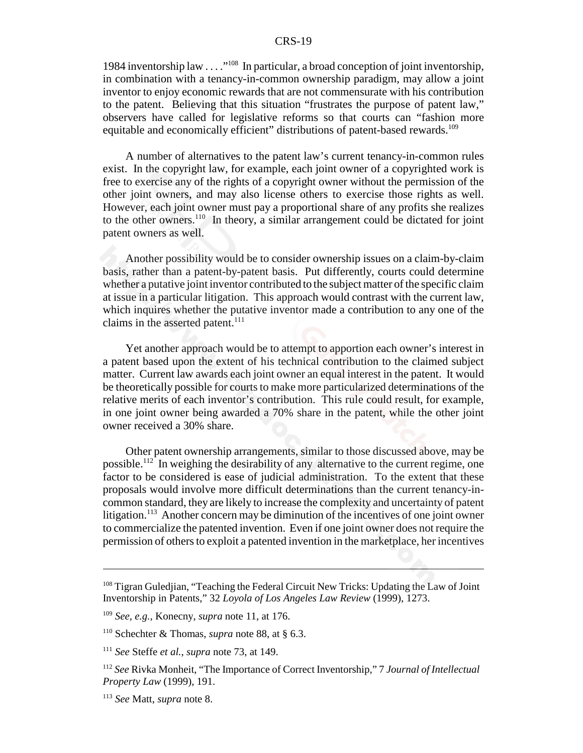1984 inventorship law . . . ."108 In particular, a broad conception of joint inventorship, in combination with a tenancy-in-common ownership paradigm, may allow a joint inventor to enjoy economic rewards that are not commensurate with his contribution to the patent. Believing that this situation "frustrates the purpose of patent law," observers have called for legislative reforms so that courts can "fashion more equitable and economically efficient" distributions of patent-based rewards.<sup>109</sup>

A number of alternatives to the patent law's current tenancy-in-common rules exist. In the copyright law, for example, each joint owner of a copyrighted work is free to exercise any of the rights of a copyright owner without the permission of the other joint owners, and may also license others to exercise those rights as well. However, each joint owner must pay a proportional share of any profits she realizes to the other owners.110 In theory, a similar arrangement could be dictated for joint patent owners as well.

Another possibility would be to consider ownership issues on a claim-by-claim basis, rather than a patent-by-patent basis. Put differently, courts could determine whether a putative joint inventor contributed to the subject matter of the specific claim at issue in a particular litigation. This approach would contrast with the current law, which inquires whether the putative inventor made a contribution to any one of the claims in the asserted patent. $^{111}$ 

Yet another approach would be to attempt to apportion each owner's interest in a patent based upon the extent of his technical contribution to the claimed subject matter. Current law awards each joint owner an equal interest in the patent. It would be theoretically possible for courts to make more particularized determinations of the relative merits of each inventor's contribution. This rule could result, for example, in one joint owner being awarded a 70% share in the patent, while the other joint owner received a 30% share.

Other patent ownership arrangements, similar to those discussed above, may be possible.<sup>112</sup> In weighing the desirability of any alternative to the current regime, one factor to be considered is ease of judicial administration. To the extent that these proposals would involve more difficult determinations than the current tenancy-incommon standard, they are likely to increase the complexity and uncertainty of patent litigation.<sup>113</sup> Another concern may be diminution of the incentives of one joint owner to commercialize the patented invention. Even if one joint owner does not require the permission of others to exploit a patented invention in the marketplace, her incentives

<sup>&</sup>lt;sup>108</sup> Tigran Guledjian, "Teaching the Federal Circuit New Tricks: Updating the Law of Joint Inventorship in Patents," 32 *Loyola of Los Angeles Law Review* (1999), 1273.

<sup>109</sup> *See, e.g.,* Konecny, *supra* note 11, at 176.

<sup>110</sup> Schechter & Thomas, *supra* note 88, at § 6.3.

<sup>111</sup> *See* Steffe *et al.*, *supra* note 73, at 149.

<sup>112</sup> *See* Rivka Monheit, "The Importance of Correct Inventorship," 7 *Journal of Intellectual Property Law* (1999), 191.

<sup>113</sup> *See* Matt, *supra* note 8.